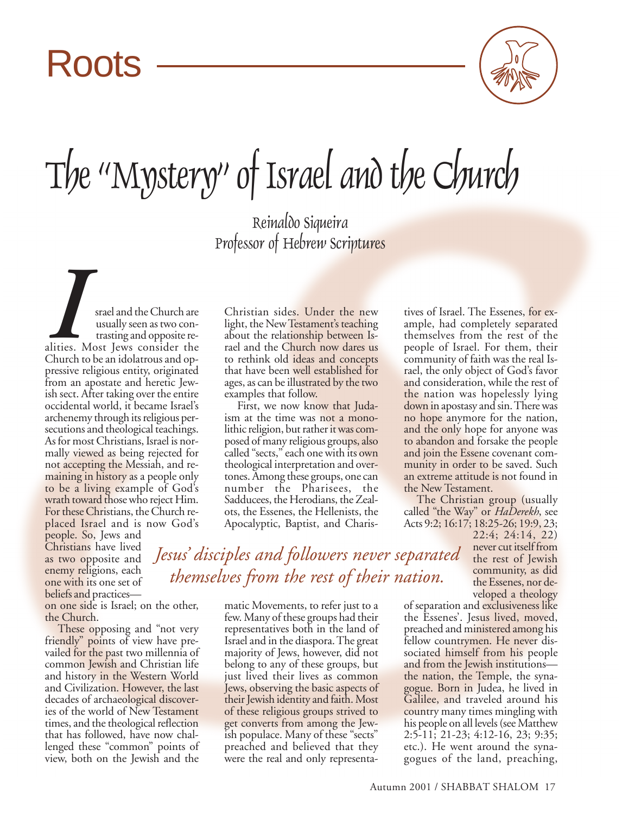## Roots



## The "Mystery" of Israel and the Church

Reinaldo Siqueira Professor of Hebrew Scriptures

ISRAEL AND STAR STAR AND STAR UNIVERSITY OF THE USE OF THE CHURCH CHURCH CHURCH CHURCH CHURCH CHURCH CHURCH CHURCH CHURCH CHURCH CHURCH CHURCH CHURCH CHURCH CHURCH CHURCH CHURCH CHURCH CHURCH CHURCH CHURCH CHURCH CHURCH CH usually seen as two contrasting and opposite realities. Most Jews consider the pressive religious entity, originated from an apostate and heretic Jewish sect. After taking over the entire occidental world, it became Israel's archenemy through its religious persecutions and theological teachings. As for most Christians, Israel is normally viewed as being rejected for not accepting the Messiah, and remaining in history as a people only to be a living example of God's wrath toward those who reject Him. For these Christians, the Church replaced Israel and is now God's

people. So, Jews and Christians have lived as two opposite and enemy religions, each one with its one set of beliefs and practices—

on one side is Israel; on the other, the Church.

These opposing and "not very friendly" points of view have prevailed for the past two millennia of common Jewish and Christian life and history in the Western World and Civilization. However, the last decades of archaeological discoveries of the world of New Testament times, and the theological reflection that has followed, have now challenged these "common" points of view, both on the Jewish and the

Christian sides. Under the new light, the New Testament's teaching about the relationship between Israel and the Church now dares us to rethink old ideas and concepts that have been well established for ages, as can be illustrated by the two examples that follow.

First, we now know that Judaism at the time was not a monolithic religion, but rather it was composed of many religious groups, also called "sects," each one with its own theological interpretation and overtones. Among these groups, one can number the Pharisees, the Sadducees, the Herodians, the Zealots, the Essenes, the Hellenists, the Apocalyptic, Baptist, and Charistives of Israel. The Essenes, for example, had completely separated themselves from the rest of the people of Israel. For them, their community of faith was the real Israel, the only object of God's favor and consideration, while the rest of the nation was hopelessly lying down in apostasy and sin. There was no hope anymore for the nation, and the only hope for anyone was to abandon and forsake the people and join the Essene covenant community in order to be saved. Such an extreme attitude is not found in the New Testament.

The Christian group (usually called "the Way" or *HaDerekh*, see Acts 9:2; 16:17; 18:25-26; 19:9, 23;

22:4; 24:14, 22) never cut itself from the rest of Jewish community, as did the Essenes, nor developed a theology

*Jesus' disciples and followers never separated themselves from the rest of their nation.*

matic Movements, to refer just to a few. Many of these groups had their representatives both in the land of Israel and in the diaspora. The great majority of Jews, however, did not belong to any of these groups, but just lived their lives as common Jews, observing the basic aspects of their Jewish identity and faith. Most of these religious groups strived to get converts from among the Jewish populace. Many of these "sects" preached and believed that they were the real and only representaof separation and exclusiveness like the Essenes'. Jesus lived, moved, preached and ministered among his fellow countrymen. He never dissociated himself from his people and from the Jewish institutions the nation, the Temple, the synagogue. Born in Judea, he lived in Galilee, and traveled around his country many times mingling with his people on all levels (see Matthew 2:5-11; 21-23; 4:12-16, 23; 9:35; etc.). He went around the synagogues of the land, preaching,